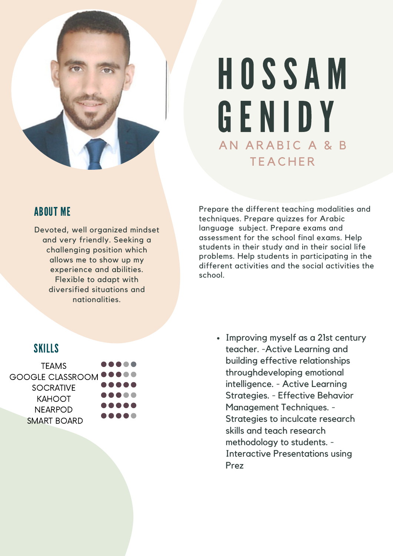

# AN ARABIC A & B **TEACHER** HOSSA M GENIDY

## ABOUT ME

Devoted, well organized mindset and very friendly. Seeking a challenging position which allows me to show up my experience and abilities. Flexible to adapt with diversified situations and nationalities.

Prepare the different teaching modalities and techniques. Prepare quizzes for Arabic language subject. Prepare exams and assessment for the school final exams. Help students in their study and in their social life problems. Help students in participating in the different activities and the social activities the school.

## SKILLS



• Improving myself as a 21st century teacher. -Active Learning and building effective relationships throughdeveloping emotional intelligence. - Active Learning Strategies. - Effective Behavior Management Techniques. - Strategies to inculcate research skills and teach research methodology to students. - Interactive Presentations using Prez